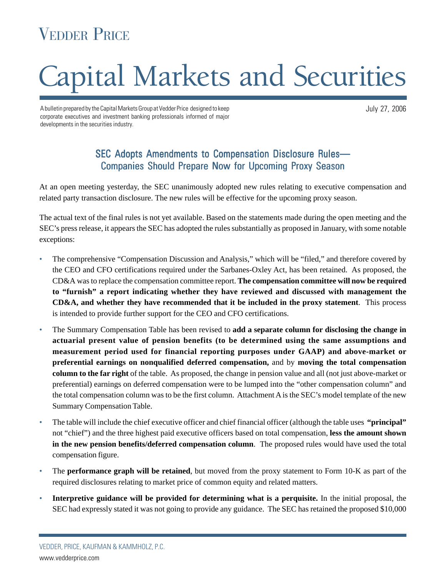# VEDDER PRICE

# Capital Markets and Securities

A bulletin prepared by the Capital Markets Group at Vedder Price designed to keep corporate executives and investment banking professionals informed of major developments in the securities industry.

July 27, 2006

# SEC Adopts Amendments to Compensation Disclosure Rules— Companies Should Prepare Now for Upcoming Proxy Season

At an open meeting yesterday, the SEC unanimously adopted new rules relating to executive compensation and related party transaction disclosure. The new rules will be effective for the upcoming proxy season.

The actual text of the final rules is not yet available. Based on the statements made during the open meeting and the SEC's press release, it appears the SEC has adopted the rules substantially as proposed in January, with some notable exceptions:

- The comprehensive "Compensation Discussion and Analysis," which will be "filed," and therefore covered by the CEO and CFO certifications required under the Sarbanes-Oxley Act, has been retained. As proposed, the CD&A was to replace the compensation committee report. **The compensation committee will now be required to "furnish" a report indicating whether they have reviewed and discussed with management the CD&A, and whether they have recommended that it be included in the proxy statement**. This process is intended to provide further support for the CEO and CFO certifications.
- The Summary Compensation Table has been revised to **add a separate column for disclosing the change in actuarial present value of pension benefits (to be determined using the same assumptions and measurement period used for financial reporting purposes under GAAP) and above-market or preferential earnings on nonqualified deferred compensation,** and by **moving the total compensation column to the far right** of the table. As proposed, the change in pension value and all (not just above-market or preferential) earnings on deferred compensation were to be lumped into the "other compensation column" and the total compensation column was to be the first column. Attachment A is the SEC's model template of the new Summary Compensation Table.
- The table will include the chief executive officer and chief financial officer (although the table uses **"principal"** not "chief") and the three highest paid executive officers based on total compensation, **less the amount shown in the new pension benefits/deferred compensation column**. The proposed rules would have used the total compensation figure.
- The **performance graph will be retained**, but moved from the proxy statement to Form 10-K as part of the required disclosures relating to market price of common equity and related matters.
- **Interpretive guidance will be provided for determining what is a perquisite.** In the initial proposal, the SEC had expressly stated it was not going to provide any guidance. The SEC has retained the proposed \$10,000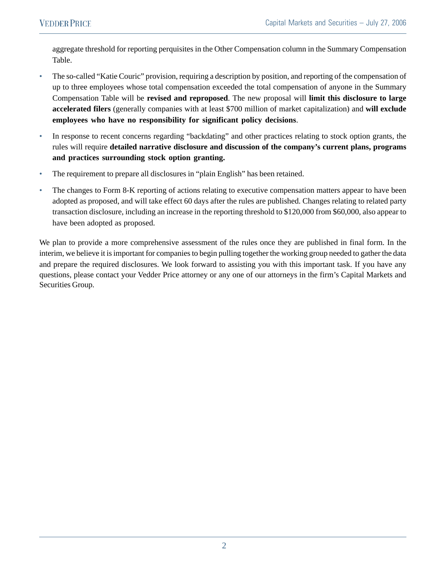aggregate threshold for reporting perquisites in the Other Compensation column in the Summary Compensation Table.

- The so-called "Katie Couric" provision, requiring a description by position, and reporting of the compensation of up to three employees whose total compensation exceeded the total compensation of anyone in the Summary Compensation Table will be **revised and reproposed**. The new proposal will **limit this disclosure to large accelerated filers** (generally companies with at least \$700 million of market capitalization) and **will exclude employees who have no responsibility for significant policy decisions**.
- In response to recent concerns regarding "backdating" and other practices relating to stock option grants, the rules will require **detailed narrative disclosure and discussion of the company's current plans, programs and practices surrounding stock option granting.**
- The requirement to prepare all disclosures in "plain English" has been retained.
- The changes to Form 8-K reporting of actions relating to executive compensation matters appear to have been adopted as proposed, and will take effect 60 days after the rules are published. Changes relating to related party transaction disclosure, including an increase in the reporting threshold to \$120,000 from \$60,000, also appear to have been adopted as proposed.

We plan to provide a more comprehensive assessment of the rules once they are published in final form. In the interim, we believe it is important for companies to begin pulling together the working group needed to gather the data and prepare the required disclosures. We look forward to assisting you with this important task. If you have any questions, please contact your Vedder Price attorney or any one of our attorneys in the firm's Capital Markets and Securities Group.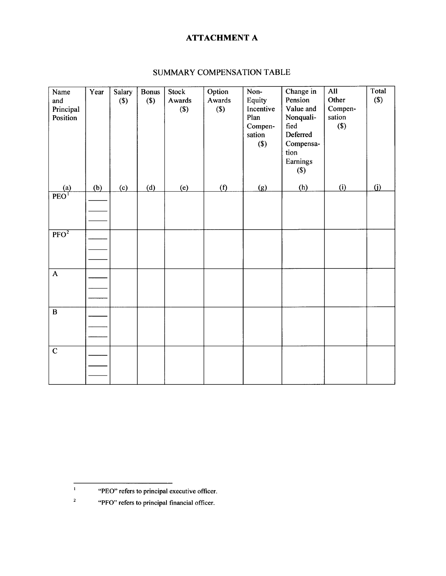# **ATTACHMENT A**

| Name<br>and<br>Principal<br>Position | Year | Salary<br>$($)$ | <b>Bonus</b><br>$($)$ | Stock<br>Awards<br>$($)$ | Option<br>Awards<br>$(\$)$ | Non-<br>Equity<br>Incentive<br>Plan<br>Compen-<br>sation<br>$($)$ | Change in<br>Pension<br>Value and<br>Nonquali-<br>fied<br>Deferred<br>Compensa-<br>tion<br>Earnings<br>$($)$ | All<br>Other<br>Compen-<br>sation<br>$($)$ | Total<br>$(s)$ |
|--------------------------------------|------|-----------------|-----------------------|--------------------------|----------------------------|-------------------------------------------------------------------|--------------------------------------------------------------------------------------------------------------|--------------------------------------------|----------------|
| (a)                                  | (b)  | (c)             | (d)                   | (e)                      | (f)                        | (g)                                                               | (h)                                                                                                          | (i)                                        | (i)            |
| $\overrightarrow{PEO}^1$             |      |                 |                       |                          |                            |                                                                   |                                                                                                              |                                            |                |
| $\overline{PFO^2}$                   |      |                 |                       |                          |                            |                                                                   |                                                                                                              |                                            |                |
| $\boldsymbol{\mathsf{A}}$            |      |                 |                       |                          |                            |                                                                   |                                                                                                              |                                            |                |
| $\, {\bf B}$                         |      |                 |                       |                          |                            |                                                                   |                                                                                                              |                                            |                |
| $\mathbf C$                          |      |                 |                       |                          |                            |                                                                   |                                                                                                              |                                            |                |

### SUMMARY COMPENSATION TABLE

 $\mathbf{1}$ 

 $\mathbf{2}$ 

<sup>&</sup>quot;PEO" refers to principal executive officer.

<sup>&</sup>quot;PFO" refers to principal financial officer.